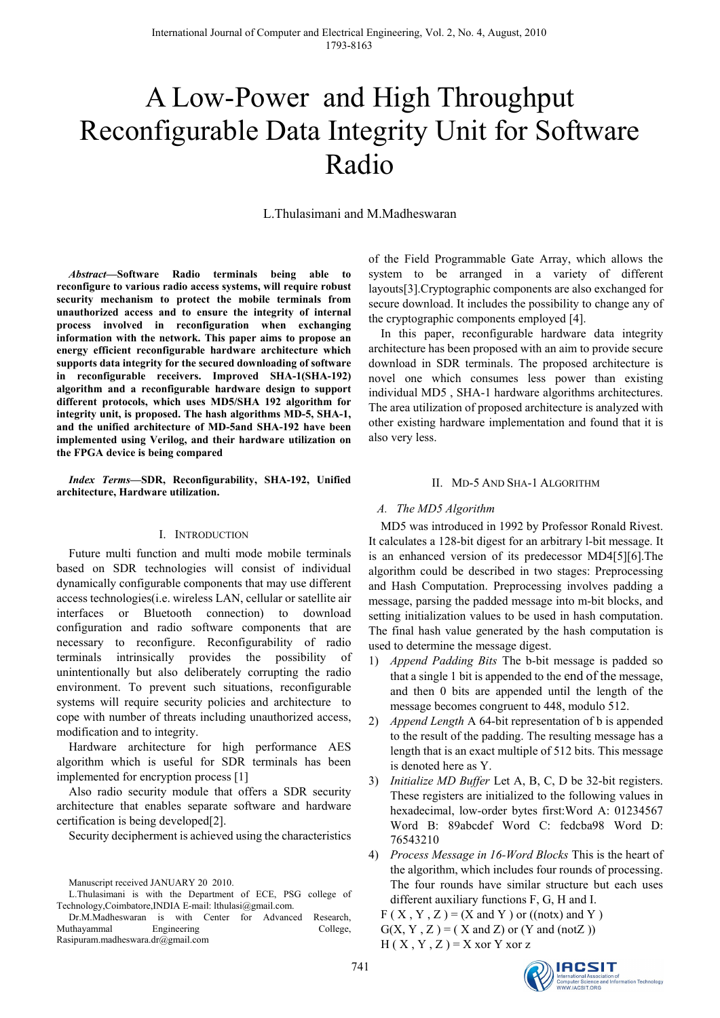# A Low-Power and High Throughput Reconfigurable Data Integrity Unit for Software Radio

L.Thulasimani and M.Madheswaran

*Abstract***—Software Radio terminals being able to reconfigure to various radio access systems, will require robust security mechanism to protect the mobile terminals from unauthorized access and to ensure the integrity of internal process involved in reconfiguration when exchanging information with the network. This paper aims to propose an energy efficient reconfigurable hardware architecture which supports data integrity for the secured downloading of software in reconfigurable receivers. Improved SHA-1(SHA-192) algorithm and a reconfigurable hardware design to support different protocols, which uses MD5/SHA 192 algorithm for integrity unit, is proposed. The hash algorithms MD-5, SHA-1, and the unified architecture of MD-5and SHA-192 have been implemented using Verilog, and their hardware utilization on the FPGA device is being compared** 

*Index Terms***—SDR, Reconfigurability, SHA-192, Unified architecture, Hardware utilization.**

#### I. INTRODUCTION

Future multi function and multi mode mobile terminals based on SDR technologies will consist of individual dynamically configurable components that may use different access technologies(i.e. wireless LAN, cellular or satellite air interfaces or Bluetooth connection) to download configuration and radio software components that are necessary to reconfigure. Reconfigurability of radio terminals intrinsically provides the possibility of unintentionally but also deliberately corrupting the radio environment. To prevent such situations, reconfigurable systems will require security policies and architecture to cope with number of threats including unauthorized access, modification and to integrity.

Hardware architecture for high performance AES algorithm which is useful for SDR terminals has been implemented for encryption process [1]

Also radio security module that offers a SDR security architecture that enables separate software and hardware certification is being developed[2].

Security decipherment is achieved using the characteristics

of the Field Programmable Gate Array, which allows the system to be arranged in a variety of different layouts[3].Cryptographic components are also exchanged for secure download. It includes the possibility to change any of the cryptographic components employed [4].

In this paper, reconfigurable hardware data integrity architecture has been proposed with an aim to provide secure download in SDR terminals. The proposed architecture is novel one which consumes less power than existing individual MD5 , SHA-1 hardware algorithms architectures. The area utilization of proposed architecture is analyzed with other existing hardware implementation and found that it is also very less.

#### II. MD-5 AND SHA-1 ALGORITHM

#### *A. The MD5 Algorithm*

MD5 was introduced in 1992 by Professor Ronald Rivest. It calculates a 128-bit digest for an arbitrary l-bit message. It is an enhanced version of its predecessor MD4[5][6].The algorithm could be described in two stages: Preprocessing and Hash Computation. Preprocessing involves padding a message, parsing the padded message into m-bit blocks, and setting initialization values to be used in hash computation. The final hash value generated by the hash computation is used to determine the message digest.

- 1) *Append Padding Bits* The b-bit message is padded so that a single 1 bit is appended to the end of the message, and then 0 bits are appended until the length of the message becomes congruent to 448, modulo 512.
- 2) *Append Length* A 64-bit representation of b is appended to the result of the padding. The resulting message has a length that is an exact multiple of 512 bits. This message is denoted here as Y.
- 3) *Initialize MD Buffer* Let A, B, C, D be 32-bit registers. These registers are initialized to the following values in hexadecimal, low-order bytes first:Word A: 01234567 Word B: 89abcdef Word C: fedcba98 Word D: 76543210
- 4) *Process Message in 16-Word Blocks* This is the heart of the algorithm, which includes four rounds of processing. The four rounds have similar structure but each uses different auxiliary functions F, G, H and I.

 $F(X, Y, Z) = (X \text{ and } Y)$  or  $((\text{not} x) \text{ and } Y)$  $G(X, Y, Z) = (X \text{ and } Z)$  or  $(Y \text{ and } (not Z))$  $H(X, Y, Z) = X$  xor Y xor z



Manuscript received JANUARY 20 2010.

L.Thulasimani is with the Department of ECE, PSG college of Technology,Coimbatore,INDIA E-mail: lthulasi@gmail.com.

Dr.M.Madheswaran is with Center for Advanced Research, Muthayammal Engineering College, Rasipuram.madheswara.dr@gmail.com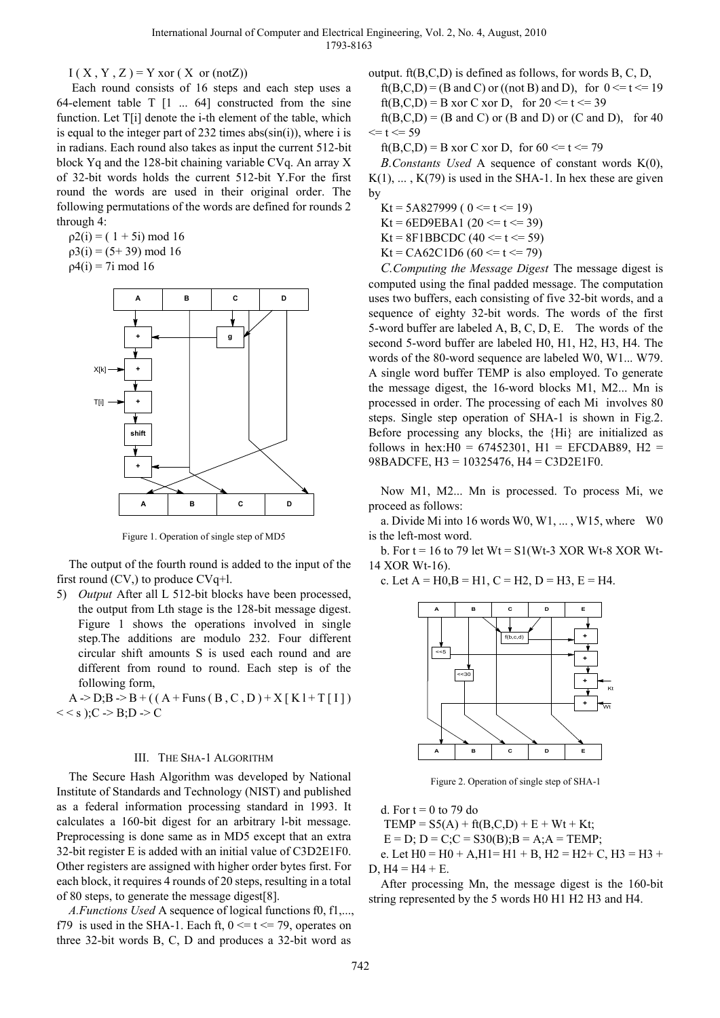$I(X, Y, Z) = Y \text{ xor } (X \text{ or } (\text{not} Z))$ 

Each round consists of 16 steps and each step uses a 64-element table  $T$   $[1 \dots 64]$  constructed from the sine function. Let T[i] denote the i-th element of the table, which is equal to the integer part of  $232$  times  $abs(sin(i))$ , where i is in radians. Each round also takes as input the current 512-bit block Yq and the 128-bit chaining variable CVq. An array X of 32-bit words holds the current 512-bit Y.For the first round the words are used in their original order. The following permutations of the words are defined for rounds 2 through 4:

 $p2(i) = (1 + 5i) \mod 16$  $p3(i) = (5 + 39) \text{ mod } 16$  $ρ4(i) = 7i$  mod 16



Figure 1. Operation of single step of MD5

The output of the fourth round is added to the input of the first round  $(CV)$ , to produce  $CVq+1$ .

5) *Output* After all L 512-bit blocks have been processed, the output from Lth stage is the 128-bit message digest. Figure 1 shows the operations involved in single step.The additions are modulo 232. Four different circular shift amounts S is used each round and are different from round to round. Each step is of the following form,

 $A > D$ ;  $B > B + ((A + Funs (B, C, D) + X [K] + T [I]))$  $<< s$  ); C  $\Rightarrow$  B; D  $\Rightarrow$  C

## III. THE SHA-1 ALGORITHM

The Secure Hash Algorithm was developed by National Institute of Standards and Technology (NIST) and published as a federal information processing standard in 1993. It calculates a 160-bit digest for an arbitrary l-bit message. Preprocessing is done same as in MD5 except that an extra 32-bit register E is added with an initial value of C3D2E1F0. Other registers are assigned with higher order bytes first. For each block, it requires 4 rounds of 20 steps, resulting in a total of 80 steps, to generate the message digest[8].

*A.Functions Used* A sequence of logical functions f0, f1,..., f79 is used in the SHA-1. Each ft,  $0 \le t \le 79$ , operates on three 32-bit words B, C, D and produces a 32-bit word as

output. ft(B,C,D) is defined as follows, for words B, C, D,  $ft(B.C.D) = (B and C)$  or  $((not B) and D)$ , for  $0 \le t \le 19$ 

ft(B,C,D) = B xor C xor D, for  $20 \le t \le 39$ 

 $ft(B,C,D) = (B \text{ and } C)$  or  $(B \text{ and } D)$  or  $(C \text{ and } D)$ , for 40  $\le t \le 59$ 

ft(B,C,D) = B xor C xor D, for  $60 \le t \le 79$ 

*B.Constants Used* A sequence of constant words K(0),  $K(1), \ldots, K(79)$  is used in the SHA-1. In hex these are given by

Kt =  $5A827999$  (  $0 \le t \le 19$ )

Kt = 6ED9EBA1 (20  $\le t \le 39$ )

 $Kt = 8F1BBCDC (40 \le t \le 59)$ 

Kt = CA62C1D6 (60 <= t <= 79)

*C.Computing the Message Digest* The message digest is computed using the final padded message. The computation uses two buffers, each consisting of five 32-bit words, and a sequence of eighty 32-bit words. The words of the first 5-word buffer are labeled A, B, C, D, E. The words of the second 5-word buffer are labeled H0, H1, H2, H3, H4. The words of the 80-word sequence are labeled W0, W1... W79. A single word buffer TEMP is also employed. To generate the message digest, the 16-word blocks M1, M2... Mn is processed in order. The processing of each Mi involves 80 steps. Single step operation of SHA-1 is shown in Fig.2. Before processing any blocks, the {Hi} are initialized as follows in hex: $H0 = 67452301$ ,  $H1 = EFCDAB89$ ,  $H2 =$ 98BADCFE, H3 = 10325476, H4 = C3D2E1F0.

Now M1, M2... Mn is processed. To process Mi, we proceed as follows:

a. Divide Mi into 16 words W0, W1, ... , W15, where W0 is the left-most word.

b. For  $t = 16$  to 79 let  $Wt = S1(Wt-3 XOR Wt-8 XOR Wt-$ 14 XOR Wt-16).

c. Let  $A = H0, B = H1, C = H2, D = H3, E = H4.$ 



Figure 2. Operation of single step of SHA-1

d. For  $t = 0$  to 79 do

 $TEMP = S5(A) + ft(B,C,D) + E + Wt + Kt;$ 

 $E = D$ ;  $D = C$ ; $C = S30(B)$ ; $B = A$ ; $A = TEMP$ ;

e. Let  $H0 = H0 + A$ ,  $H1 = H1 + B$ ,  $H2 = H2 + C$ ,  $H3 = H3 +$ D,  $H4 = H4 + E$ .

After processing Mn, the message digest is the 160-bit string represented by the 5 words H0 H1 H2 H3 and H4.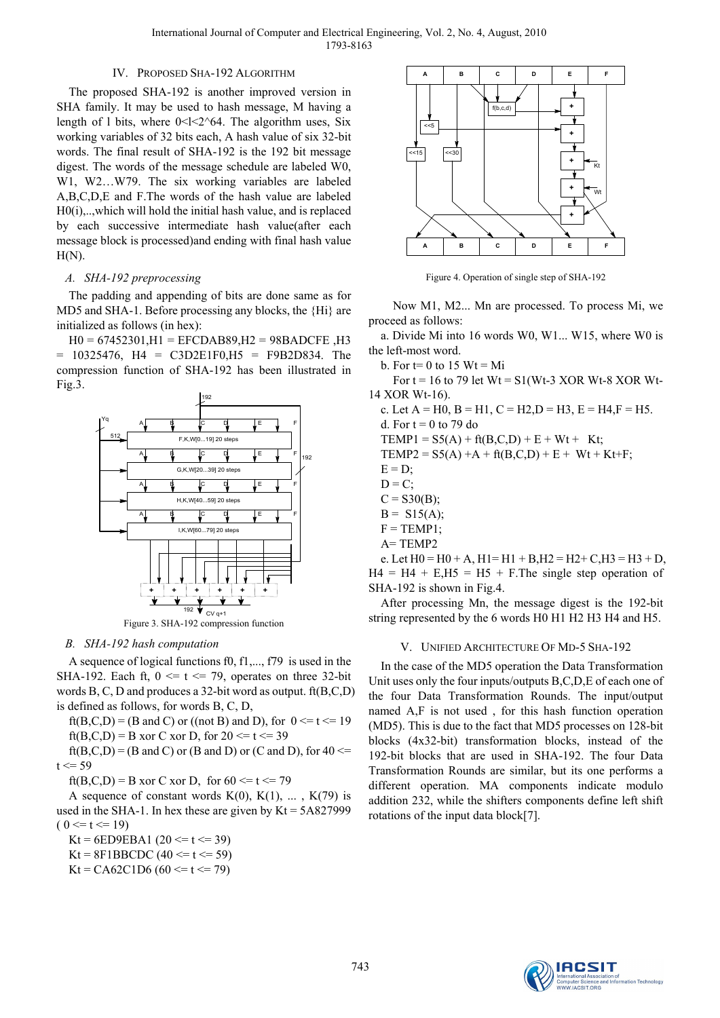# IV. PROPOSED SHA-192 ALGORITHM

The proposed SHA-192 is another improved version in SHA family. It may be used to hash message, M having a length of 1 bits, where  $0 < 1 < 2$  64. The algorithm uses, Six working variables of 32 bits each, A hash value of six 32-bit words. The final result of SHA-192 is the 192 bit message digest. The words of the message schedule are labeled W0, W1, W2…W79. The six working variables are labeled A,B,C,D,E and F.The words of the hash value are labeled H0(i),..,which will hold the initial hash value, and is replaced by each successive intermediate hash value(after each message block is processed)and ending with final hash value  $H(N)$ .

### *A. SHA-192 preprocessing*

The padding and appending of bits are done same as for MD5 and SHA-1. Before processing any blocks, the {Hi} are initialized as follows (in hex):

H0 = 67452301,H1 = EFCDAB89,H2 = 98BADCFE ,H3  $= 10325476$ ,  $H4 = C3D2E1F0$ , $H5 = F9B2D834$ . The compression function of SHA-192 has been illustrated in Fig.3.



Figure 3. SHA-192 compression function

#### *B. SHA-192 hash computation*

A sequence of logical functions f0, f1,..., f79 is used in the SHA-192. Each ft,  $0 \le t \le 79$ , operates on three 32-bit words B, C, D and produces a 32-bit word as output. ft(B,C,D) is defined as follows, for words B, C, D,

ft(B,C,D) = (B and C) or ((not B) and D), for  $0 \le t \le 19$ ft(B,C,D) = B xor C xor D, for  $20 \le t \le 39$ 

 $ft(B,C,D) = (B \text{ and } C)$  or  $(B \text{ and } D)$  or  $(C \text{ and } D)$ , for  $40 \le$  $t \le 59$ 

ft(B,C,D) = B xor C xor D, for  $60 \le t \le 79$ 

A sequence of constant words  $K(0)$ ,  $K(1)$ , ...,  $K(79)$  is used in the SHA-1. In hex these are given by  $Kt = 5A827999$  $(0 \le t \le 19)$ 

Kt = 6ED9EBA1 (20 <= t <= 39)

 $Kt = 8F1BBCDC (40 \le t \le 59)$ 

Kt = CA62C1D6 (60 <= t <= 79)



Figure 4. Operation of single step of SHA-192

Now M1, M2... Mn are processed. To process Mi, we proceed as follows:

a. Divide Mi into 16 words W0, W1... W15, where W0 is the left-most word.

b. For  $t=0$  to 15 Wt = Mi

For  $t = 16$  to 79 let  $Wt = S1(Wt-3 XOR Wt-8 XOR Wt-$ 14 XOR Wt-16).

c. Let  $A = H0$ ,  $B = H1$ ,  $C = H2$ ,  $D = H3$ ,  $E = H4$ ,  $F = H5$ . d. For  $t = 0$  to 79 do  $TEMP1 = S5(A) + ft(B,C,D) + E + Wt + Kt;$  $TEMP2 = S5(A) + A + ft(B,C,D) + E + Wt + Kt + F;$  $E = D$ ;  $D = C$ :  $C = S30(B)$ ;  $B = S15(A);$  $F = TEMP1$ ; A= TEMP2 e. Let  $H0 = H0 + A$ ,  $H1 = H1 + B$ ,  $H2 = H2 + C$ ,  $H3 = H3 + D$ ,

 $H4 = H4 + E, H5 = H5 + F$ . The single step operation of SHA-192 is shown in Fig.4.

After processing Mn, the message digest is the 192-bit string represented by the 6 words H0 H1 H2 H3 H4 and H5.

#### V. UNIFIED ARCHITECTURE OF MD-5 SHA-192

In the case of the MD5 operation the Data Transformation Unit uses only the four inputs/outputs B,C,D,E of each one of the four Data Transformation Rounds. The input/output named A,F is not used , for this hash function operation (MD5). This is due to the fact that MD5 processes on 128-bit blocks (4x32-bit) transformation blocks, instead of the 192-bit blocks that are used in SHA-192. The four Data Transformation Rounds are similar, but its one performs a different operation. MA components indicate modulo addition 232, while the shifters components define left shift rotations of the input data block[7].

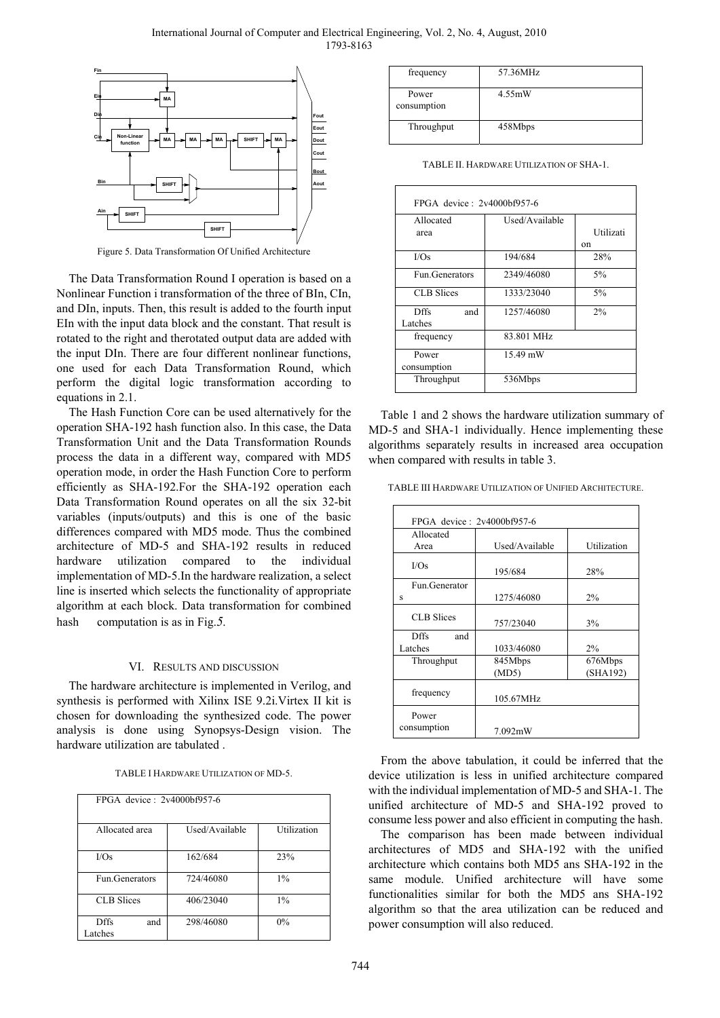International Journal of Computer and Electrical Engineering, Vol. 2, No. 4, August, 2010 1793-8163



Figure 5. Data Transformation Of Unified Architecture

The Data Transformation Round I operation is based on a Nonlinear Function i transformation of the three of BIn, CIn, and DIn, inputs. Then, this result is added to the fourth input EIn with the input data block and the constant. That result is rotated to the right and therotated output data are added with the input DIn. There are four different nonlinear functions, one used for each Data Transformation Round, which perform the digital logic transformation according to equations in 2.1.

The Hash Function Core can be used alternatively for the operation SHA-192 hash function also. In this case, the Data Transformation Unit and the Data Transformation Rounds process the data in a different way, compared with MD5 operation mode, in order the Hash Function Core to perform efficiently as SHA-192.For the SHA-192 operation each Data Transformation Round operates on all the six 32-bit variables (inputs/outputs) and this is one of the basic differences compared with MD5 mode. Thus the combined architecture of MD-5 and SHA-192 results in reduced hardware utilization compared to the individual implementation of MD-5.In the hardware realization, a select line is inserted which selects the functionality of appropriate algorithm at each block. Data transformation for combined hash computation is as in Fig.*5.* 

#### VI. RESULTS AND DISCUSSION

The hardware architecture is implemented in Verilog, and synthesis is performed with Xilinx ISE 9.2i.Virtex II kit is chosen for downloading the synthesized code. The power analysis is done using Synopsys-Design vision. The hardware utilization are tabulated .

| FPGA device: 2v4000bf957-6    |                |             |
|-------------------------------|----------------|-------------|
| Allocated area                | Used/Available | Utilization |
| I/Os                          | 162/684        | 23%         |
| Fun.Generators                | 724/46080      | $1\%$       |
| <b>CLB</b> Slices             | 406/23040      | $1\%$       |
| <b>Dffs</b><br>and<br>Latches | 298/46080      | 0%          |

| frequency            | 57.36MHz |
|----------------------|----------|
| Power<br>consumption | 4.55mW   |
| Throughput           | 458Mbps  |

|  | TABLE II. HARDWARE UTILIZATION OF SHA-1. |  |
|--|------------------------------------------|--|
|--|------------------------------------------|--|

| FPGA device: $2v4000hf957-6$ |                |           |  |
|------------------------------|----------------|-----------|--|
| Allocated                    | Used/Available |           |  |
| area                         |                | Utilizati |  |
|                              |                | on        |  |
| I/Os                         | 194/684        | 28%       |  |
| Fun Generators               | 2349/46080     | 5%        |  |
| <b>CLB</b> Slices            | 1333/23040     | 5%        |  |
| <b>Dffs</b><br>and           | 1257/46080     | 2%        |  |
| Latches                      |                |           |  |
| frequency                    | 83.801 MHz     |           |  |
| Power                        | 15.49 mW       |           |  |
| consumption                  |                |           |  |
| Throughput                   | 536Mbps        |           |  |

Table 1 and 2 shows the hardware utilization summary of MD-5 and SHA-1 individually. Hence implementing these algorithms separately results in increased area occupation when compared with results in table 3.

TABLE III HARDWARE UTILIZATION OF UNIFIED ARCHITECTURE.

| FPGA device: 2v4000bf957-6 |                |             |
|----------------------------|----------------|-------------|
| Allocated                  |                |             |
| Area                       | Used/Available | Utilization |
| I/Os                       | 195/684        | 28%         |
| Fun Generator              |                |             |
| s                          | 1275/46080     | 2%          |
| <b>CLB</b> Slices          | 757/23040      | 3%          |
| <b>Dffs</b><br>and         |                |             |
| Latches                    | 1033/46080     | 2%          |
| Throughput                 | 845Mbps        | 676Mbps     |
|                            | (MD5)          | (SHA192)    |
| frequency                  | 105.67MHz      |             |
| Power<br>consumption       | 7.092mW        |             |

From the above tabulation, it could be inferred that the device utilization is less in unified architecture compared with the individual implementation of MD-5 and SHA-1. The unified architecture of MD-5 and SHA-192 proved to consume less power and also efficient in computing the hash.

The comparison has been made between individual architectures of MD5 and SHA-192 with the unified architecture which contains both MD5 ans SHA-192 in the same module. Unified architecture will have some functionalities similar for both the MD5 ans SHA-192 algorithm so that the area utilization can be reduced and power consumption will also reduced.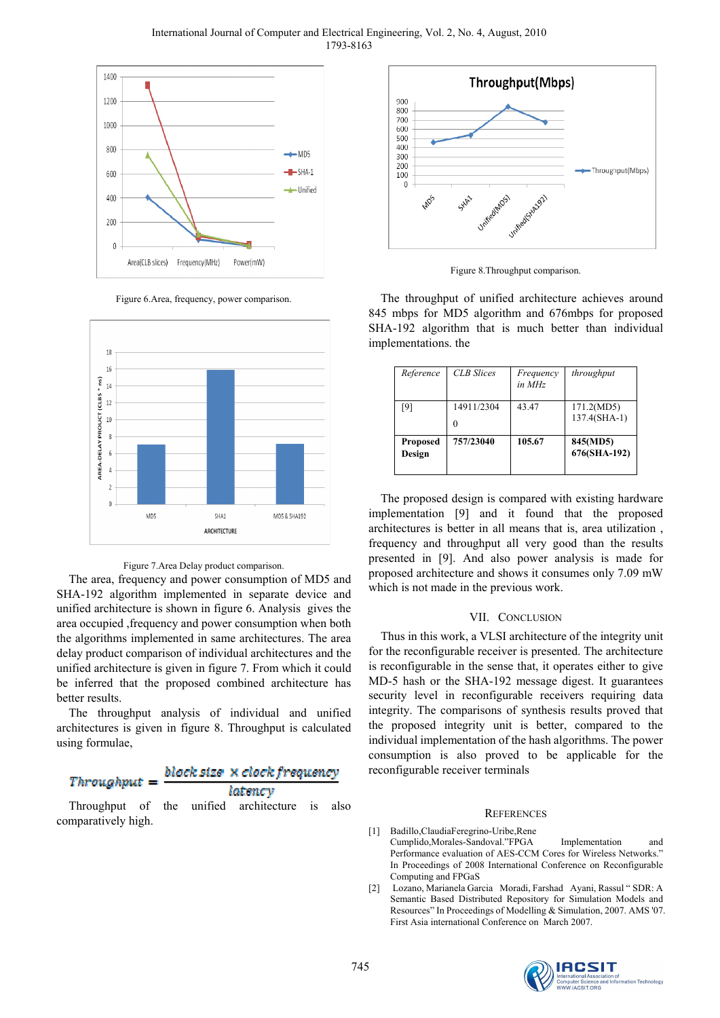International Journal of Computer and Electrical Engineering, Vol. 2, No. 4, August, 2010 1793-8163



Figure 6.Area, frequency, power comparison.





The area, frequency and power consumption of MD5 and SHA-192 algorithm implemented in separate device and unified architecture is shown in figure 6. Analysis gives the area occupied ,frequency and power consumption when both the algorithms implemented in same architectures. The area delay product comparison of individual architectures and the unified architecture is given in figure 7. From which it could be inferred that the proposed combined architecture has better results.

The throughput analysis of individual and unified architectures is given in figure 8. Throughput is calculated using formulae,

#### block size × clock frequency Throughput latency

Throughput of the unified architecture is also comparatively high.



Figure 8.Throughput comparison.

The throughput of unified architecture achieves around 845 mbps for MD5 algorithm and 676mbps for proposed SHA-192 algorithm that is much better than individual implementations. the

| Reference                 | <b>CLB</b> Slices | Frequency<br>in MHz | throughput                 |
|---------------------------|-------------------|---------------------|----------------------------|
| [9]                       | 14911/2304        | 43.47               | 171.2(MD5)<br>137.4(SHA-1) |
| <b>Proposed</b><br>Design | 757/23040         | 105.67              | 845(MD5)<br>676(SHA-192)   |

The proposed design is compared with existing hardware implementation [9] and it found that the proposed architectures is better in all means that is, area utilization , frequency and throughput all very good than the results presented in [9]. And also power analysis is made for proposed architecture and shows it consumes only 7.09 mW which is not made in the previous work.

# VII. CONCLUSION

Thus in this work, a VLSI architecture of the integrity unit for the reconfigurable receiver is presented. The architecture is reconfigurable in the sense that, it operates either to give MD-5 hash or the SHA-192 message digest. It guarantees security level in reconfigurable receivers requiring data integrity. The comparisons of synthesis results proved that the proposed integrity unit is better, compared to the individual implementation of the hash algorithms. The power consumption is also proved to be applicable for the reconfigurable receiver terminals

#### **REFERENCES**

- [1] Badillo,ClaudiaFeregrino-Uribe,Rene Cumplido,Morales-Sandoval."FPGA Implementation and Performance evaluation of AES-CCM Cores for Wireless Networks." In Proceedings of 2008 International Conference on Reconfigurable Computing and FPGaS
- [2] Lozano, Marianela Garcia Moradi, Farshad Ayani, Rassul " SDR: A Semantic Based Distributed Repository for Simulation Models and Resources" In Proceedings of Modelling & Simulation, 2007. AMS '07. First Asia international Conference on March 2007.